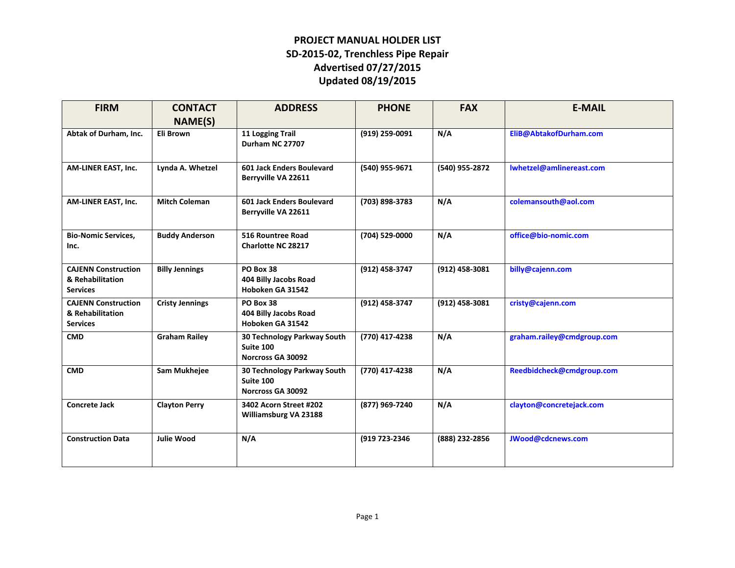| <b>FIRM</b>                                                       | <b>CONTACT</b>         | <b>ADDRESS</b>                                                | <b>PHONE</b>   | <b>FAX</b>     | <b>E-MAIL</b>              |
|-------------------------------------------------------------------|------------------------|---------------------------------------------------------------|----------------|----------------|----------------------------|
|                                                                   | NAME(S)                |                                                               |                |                |                            |
| Abtak of Durham, Inc.                                             | Eli Brown              | 11 Logging Trail<br>Durham NC 27707                           | (919) 259-0091 | N/A            | EliB@AbtakofDurham.com     |
| AM-LINER EAST, Inc.                                               | Lynda A. Whetzel       | 601 Jack Enders Boulevard<br>Berryville VA 22611              | (540) 955-9671 | (540) 955-2872 | lwhetzel@amlinereast.com   |
| AM-LINER EAST, Inc.                                               | <b>Mitch Coleman</b>   | 601 Jack Enders Boulevard<br>Berryville VA 22611              | (703) 898-3783 | N/A            | colemansouth@aol.com       |
| <b>Bio-Nomic Services,</b><br>Inc.                                | <b>Buddy Anderson</b>  | 516 Rountree Road<br><b>Charlotte NC 28217</b>                | (704) 529-0000 | N/A            | office@bio-nomic.com       |
| <b>CAJENN Construction</b><br>& Rehabilitation<br><b>Services</b> | <b>Billy Jennings</b>  | PO Box 38<br>404 Billy Jacobs Road<br>Hoboken GA 31542        | (912) 458-3747 | (912) 458-3081 | billy@cajenn.com           |
| <b>CAJENN Construction</b><br>& Rehabilitation<br><b>Services</b> | <b>Cristy Jennings</b> | PO Box 38<br>404 Billy Jacobs Road<br>Hoboken GA 31542        | (912) 458-3747 | (912) 458-3081 | cristy@cajenn.com          |
| <b>CMD</b>                                                        | <b>Graham Railey</b>   | 30 Technology Parkway South<br>Suite 100<br>Norcross GA 30092 | (770) 417-4238 | N/A            | graham.railey@cmdgroup.com |
| <b>CMD</b>                                                        | Sam Mukhejee           | 30 Technology Parkway South<br>Suite 100<br>Norcross GA 30092 | (770) 417-4238 | N/A            | Reedbidcheck@cmdgroup.com  |
| <b>Concrete Jack</b>                                              | <b>Clayton Perry</b>   | 3402 Acorn Street #202<br>Williamsburg VA 23188               | (877) 969-7240 | N/A            | clayton@concretejack.com   |
| <b>Construction Data</b>                                          | <b>Julie Wood</b>      | N/A                                                           | (919 723-2346  | (888) 232-2856 | JWood@cdcnews.com          |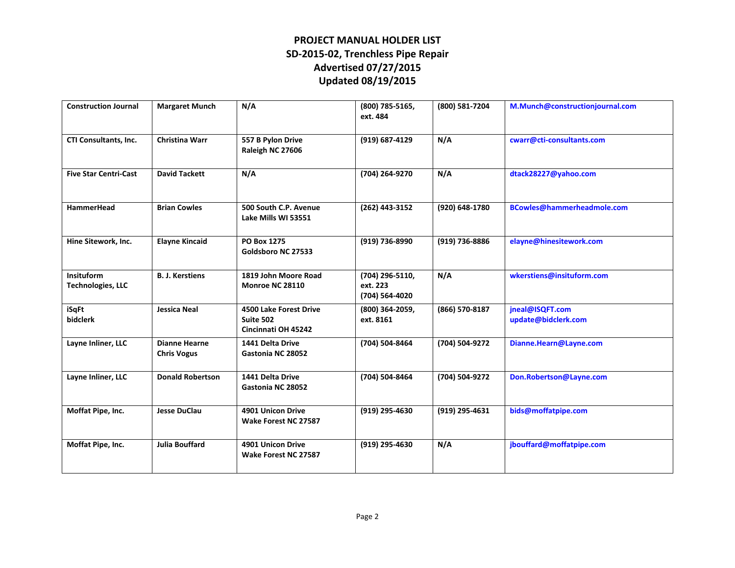| <b>Construction Journal</b>            | <b>Margaret Munch</b>                      | N/A                                                               | (800) 785-5165,<br>ext. 484                   | (800) 581-7204 | M.Munch@constructionjournal.com        |
|----------------------------------------|--------------------------------------------|-------------------------------------------------------------------|-----------------------------------------------|----------------|----------------------------------------|
| CTI Consultants, Inc.                  | <b>Christina Warr</b>                      | 557 B Pylon Drive<br>Raleigh NC 27606                             | (919) 687-4129                                | N/A            | cwarr@cti-consultants.com              |
| <b>Five Star Centri-Cast</b>           | <b>David Tackett</b>                       | N/A                                                               | (704) 264-9270                                | N/A            | dtack28227@yahoo.com                   |
| <b>HammerHead</b>                      | <b>Brian Cowles</b>                        | 500 South C.P. Avenue<br>Lake Mills WI 53551                      | (262) 443-3152                                | (920) 648-1780 | BCowles@hammerheadmole.com             |
| Hine Sitework, Inc.                    | <b>Elayne Kincaid</b>                      | <b>PO Box 1275</b><br>Goldsboro NC 27533                          | (919) 736-8990                                | (919) 736-8886 | elayne@hinesitework.com                |
| Insituform<br><b>Technologies, LLC</b> | <b>B. J. Kerstiens</b>                     | 1819 John Moore Road<br>Monroe NC 28110                           | (704) 296-5110,<br>ext. 223<br>(704) 564-4020 | N/A            | wkerstiens@insituform.com              |
| iSqFt<br>bidclerk                      | <b>Jessica Neal</b>                        | <b>4500 Lake Forest Drive</b><br>Suite 502<br>Cincinnati OH 45242 | (800) 364-2059,<br>ext. 8161                  | (866) 570-8187 | jneal@ISQFT.com<br>update@bidclerk.com |
| Layne Inliner, LLC                     | <b>Dianne Hearne</b><br><b>Chris Vogus</b> | 1441 Delta Drive<br>Gastonia NC 28052                             | (704) 504-8464                                | (704) 504-9272 | Dianne.Hearn@Layne.com                 |
| Layne Inliner, LLC                     | <b>Donald Robertson</b>                    | 1441 Delta Drive<br>Gastonia NC 28052                             | (704) 504-8464                                | (704) 504-9272 | Don.Robertson@Layne.com                |
| Moffat Pipe, Inc.                      | <b>Jesse DuClau</b>                        | 4901 Unicon Drive<br>Wake Forest NC 27587                         | (919) 295-4630                                | (919) 295-4631 | bids@moffatpipe.com                    |
| Moffat Pipe, Inc.                      | <b>Julia Bouffard</b>                      | 4901 Unicon Drive<br>Wake Forest NC 27587                         | (919) 295-4630                                | N/A            | jbouffard@moffatpipe.com               |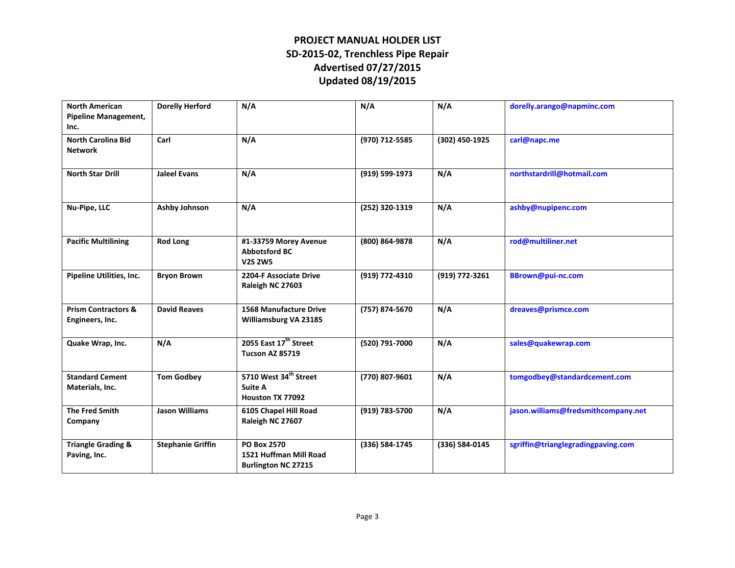| <b>North American</b><br><b>Pipeline Management,</b><br>Inc. | <b>Dorelly Herford</b>   | N/A                                                                        | N/A            | N/A            | dorelly.arango@napminc.com          |
|--------------------------------------------------------------|--------------------------|----------------------------------------------------------------------------|----------------|----------------|-------------------------------------|
| <b>North Carolina Bid</b><br><b>Network</b>                  | Carl                     | N/A                                                                        | (970) 712-5585 | (302) 450-1925 | carl@napc.me                        |
| <b>North Star Drill</b>                                      | <b>Jaleel Evans</b>      | N/A                                                                        | (919) 599-1973 | N/A            | northstardrill@hotmail.com          |
| Nu-Pipe, LLC                                                 | <b>Ashby Johnson</b>     | N/A                                                                        | (252) 320-1319 | N/A            | ashby@nupipenc.com                  |
| <b>Pacific Multilining</b>                                   | <b>Rod Long</b>          | #1-33759 Morey Avenue<br><b>Abbotsford BC</b><br><b>V2S 2W5</b>            | (800) 864-9878 | N/A            | rod@multiliner.net                  |
| Pipeline Utilities, Inc.                                     | <b>Bryon Brown</b>       | 2204-F Associate Drive<br>Raleigh NC 27603                                 | (919) 772-4310 | (919) 772-3261 | BBrown@pui-nc.com                   |
| <b>Prism Contractors &amp;</b><br>Engineers, Inc.            | <b>David Reaves</b>      | <b>1568 Manufacture Drive</b><br>Williamsburg VA 23185                     | (757) 874-5670 | N/A            | dreaves@prismce.com                 |
| Quake Wrap, Inc.                                             | N/A                      | 2055 East 17 <sup>th</sup> Street<br><b>Tucson AZ 85719</b>                | (520) 791-7000 | N/A            | sales@quakewrap.com                 |
| <b>Standard Cement</b><br>Materials, Inc.                    | <b>Tom Godbey</b>        | 5710 West 34 <sup>th</sup> Street<br><b>Suite A</b><br>Houston TX 77092    | (770) 807-9601 | N/A            | tomgodbey@standardcement.com        |
| <b>The Fred Smith</b><br>Company                             | <b>Jason Williams</b>    | 6105 Chapel Hill Road<br>Raleigh NC 27607                                  | (919) 783-5700 | N/A            | jason.williams@fredsmithcompany.net |
| <b>Triangle Grading &amp;</b><br>Paving, Inc.                | <b>Stephanie Griffin</b> | <b>PO Box 2570</b><br>1521 Huffman Mill Road<br><b>Burlington NC 27215</b> | (336) 584-1745 | (336) 584-0145 | sgriffin@trianglegradingpaving.com  |